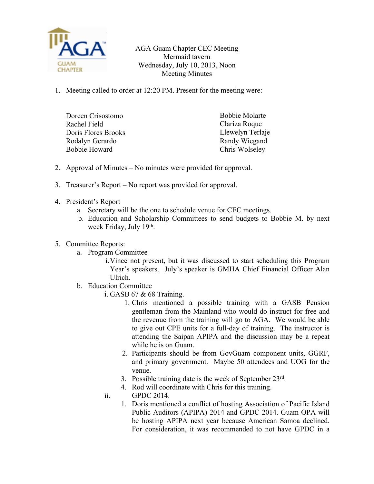

AGA Guam Chapter CEC Meeting Mermaid tavern Wednesday, July 10, 2013, Noon Meeting Minutes

1. Meeting called to order at 12:20 PM. Present for the meeting were:

| Doreen Crisostomo   | <b>Bobbie Molarte</b> |
|---------------------|-----------------------|
| Rachel Field        | Clariza Roque         |
| Doris Flores Brooks | Llewelyn Terlaje      |
| Rodalyn Gerardo     | Randy Wiegand         |
| Bobbie Howard       | Chris Wolseley        |
|                     |                       |

- 2. Approval of Minutes No minutes were provided for approval.
- 3. Treasurer's Report No report was provided for approval.
- 4. President's Report
	- a. Secretary will be the one to schedule venue for CEC meetings.
	- b. Education and Scholarship Committees to send budgets to Bobbie M. by next week Friday, July 19<sup>th</sup>.
- 5. Committee Reports:
	- a. Program Committee
		- i.Vince not present, but it was discussed to start scheduling this Program Year's speakers. July's speaker is GMHA Chief Financial Officer Alan Ulrich.
	- b. Education Committee
		- i. GASB 67 & 68 Training.
			- 1. Chris mentioned a possible training with a GASB Pension gentleman from the Mainland who would do instruct for free and the revenue from the training will go to AGA. We would be able to give out CPE units for a full-day of training. The instructor is attending the Saipan APIPA and the discussion may be a repeat while he is on Guam.
			- 2. Participants should be from GovGuam component units, GGRF, and primary government. Maybe 50 attendees and UOG for the venue.
			- 3. Possible training date is the week of September 23rd .
			- 4. Rod will coordinate with Chris for this training.
		- ii. GPDC 2014.
			- 1. Doris mentioned a conflict of hosting Association of Pacific Island Public Auditors (APIPA) 2014 and GPDC 2014. Guam OPA will be hosting APIPA next year because American Samoa declined. For consideration, it was recommended to not have GPDC in a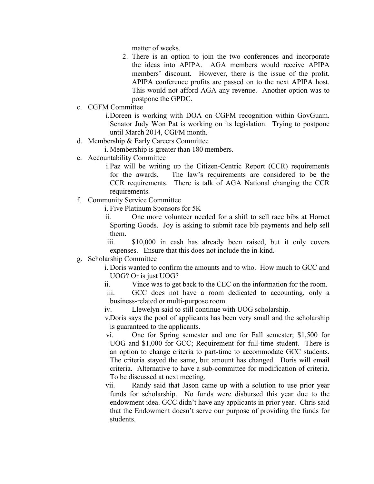matter of weeks.

- 2. There is an option to join the two conferences and incorporate the ideas into APIPA. AGA members would receive APIPA members' discount. However, there is the issue of the profit. APIPA conference profits are passed on to the next APIPA host. This would not afford AGA any revenue. Another option was to postpone the GPDC.
- c. CGFM Committee

i.Doreen is working with DOA on CGFM recognition within GovGuam. Senator Judy Won Pat is working on its legislation. Trying to postpone until March 2014, CGFM month.

d. Membership & Early Careers Committee

i. Membership is greater than 180 members.

e. Accountability Committee

i.Paz will be writing up the Citizen-Centric Report (CCR) requirements for the awards. The law's requirements are considered to be the CCR requirements. There is talk of AGA National changing the CCR requirements.

f. Community Service Committee

i. Five Platinum Sponsors for 5K

ii. One more volunteer needed for a shift to sell race bibs at Hornet Sporting Goods. Joy is asking to submit race bib payments and help sell them.

iii. \$10,000 in cash has already been raised, but it only covers expenses. Ensure that this does not include the in-kind.

## g. Scholarship Committee

i. Doris wanted to confirm the amounts and to who. How much to GCC and UOG? Or is just UOG?

ii. Vince was to get back to the CEC on the information for the room.

iii. GCC does not have a room dedicated to accounting, only a business-related or multi-purpose room.

iv. Llewelyn said to still continue with UOG scholarship.

v.Doris says the pool of applicants has been very small and the scholarship is guaranteed to the applicants.

vi. One for Spring semester and one for Fall semester; \$1,500 for UOG and \$1,000 for GCC; Requirement for full-time student. There is an option to change criteria to part-time to accommodate GCC students. The criteria stayed the same, but amount has changed. Doris will email criteria. Alternative to have a sub-committee for modification of criteria. To be discussed at next meeting.

vii. Randy said that Jason came up with a solution to use prior year funds for scholarship. No funds were disbursed this year due to the endowment idea. GCC didn't have any applicants in prior year. Chris said that the Endowment doesn't serve our purpose of providing the funds for students.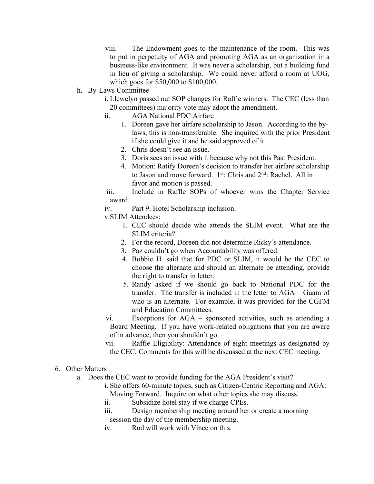viii. The Endowment goes to the maintenance of the room. This was to put in perpetuity of AGA and promoting AGA as an organization in a business-like environment. It was never a scholarship, but a building fund in lieu of giving a scholarship. We could never afford a room at UOG, which goes for \$50,000 to \$100,000.

- h. By-Laws Committee
	- i. Llewelyn passed out SOP changes for Raffle winners. The CEC (less than 20 committees) majority vote may adopt the amendment.
	- ii. AGA National PDC Airfare
		- 1. Doreen gave her airfare scholarship to Jason. According to the bylaws, this is non-transferable. She inquired with the prior President if she could give it and he said approved of it.
		- 2. Chris doesn't see an issue.
		- 3. Doris sees an issue with it because why not this Past President.
		- 4. Motion: Ratify Doreen's decision to transfer her airfare scholarship to Jason and move forward. 1<sup>st</sup>: Chris and 2<sup>nd</sup>: Rachel. All in favor and motion is passed.
	- iii. Include in Raffle SOPs of whoever wins the Chapter Service award.
	- iv. Part 9. Hotel Scholarship inclusion.

v.SLIM Attendees:

- 1. CEC should decide who attends the SLIM event. What are the SLIM criteria?
- 2. For the record, Doreen did not determine Ricky's attendance.
- 3. Paz couldn't go when Accountability was offered.
- 4. Bobbie H. said that for PDC or SLIM, it would be the CEC to choose the alternate and should an alternate be attending, provide the right to transfer in letter.
- 5. Randy asked if we should go back to National PDC for the transfer. The transfer is included in the letter to AGA – Guam of who is an alternate. For example, it was provided for the CGFM and Education Committees.
- vi. Exceptions for AGA sponsored activities, such as attending a Board Meeting. If you have work-related obligations that you are aware of in advance, then you shouldn't go.
- vii. Raffle Eligibility: Attendance of eight meetings as designated by the CEC. Comments for this will be discussed at the next CEC meeting.
- 6. Other Matters
	- a. Does the CEC want to provide funding for the AGA President's visit?
		- i. She offers 60-minute topics, such as Citizen-Centric Reporting and AGA: Moving Forward. Inquire on what other topics she may discuss.
		- ii. Subsidize hotel stay if we charge CPEs.
		- iii. Design membership meeting around her or create a morning session the day of the membership meeting.
		- iv. Rod will work with Vince on this.